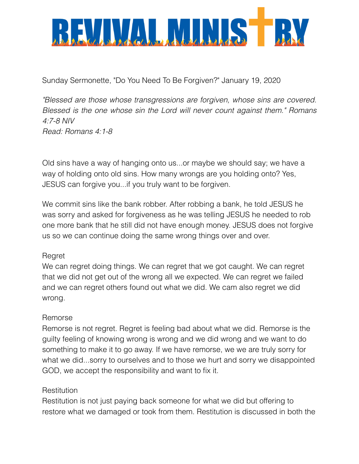

Sunday Sermonette, "Do You Need To Be Forgiven?" January 19, 2020

*"Blessed are those whose transgressions are forgiven, whose sins are covered. Blessed is the one whose sin the Lord will never count against them." Romans 4:7-8 NIV Read: Romans 4:1-8* 

Old sins have a way of hanging onto us...or maybe we should say; we have a way of holding onto old sins. How many wrongs are you holding onto? Yes, JESUS can forgive you...if you truly want to be forgiven.

We commit sins like the bank robber. After robbing a bank, he told JESUS he was sorry and asked for forgiveness as he was telling JESUS he needed to rob one more bank that he still did not have enough money. JESUS does not forgive us so we can continue doing the same wrong things over and over.

# Regret

We can regret doing things. We can regret that we got caught. We can regret that we did not get out of the wrong all we expected. We can regret we failed and we can regret others found out what we did. We cam also regret we did wrong.

# Remorse

Remorse is not regret. Regret is feeling bad about what we did. Remorse is the guilty feeling of knowing wrong is wrong and we did wrong and we want to do something to make it to go away. If we have remorse, we we are truly sorry for what we did...sorry to ourselves and to those we hurt and sorry we disappointed GOD, we accept the responsibility and want to fix it.

### **Restitution**

Restitution is not just paying back someone for what we did but offering to restore what we damaged or took from them. Restitution is discussed in both the